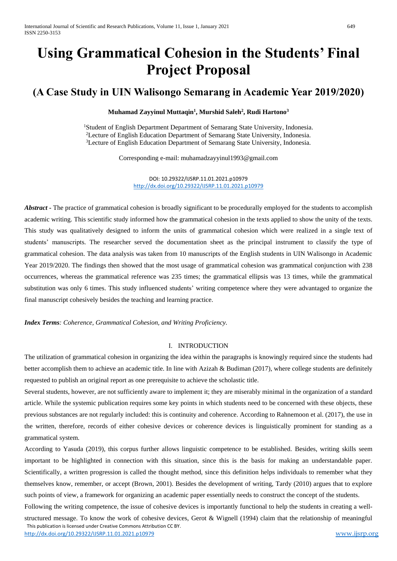# **Using Grammatical Cohesion in the Students' Final Project Proposal**

# **(A Case Study in UIN Walisongo Semarang in Academic Year 2019/2020)**

## **Muhamad Zayyinul Muttaqin<sup>1</sup> , Murshid Saleh<sup>2</sup> , Rudi Hartono<sup>3</sup>**

<sup>1</sup>Student of English Department Department of Semarang State University, Indonesia. <sup>2</sup>Lecture of English Education Department of Semarang State University, Indonesia. <sup>3</sup>Lecture of English Education Department of Semarang State University, Indonesia.

Corresponding e-mail: muhamadzayyinul1993@gmail.com

DOI: 10.29322/IJSRP.11.01.2021.p10979 <http://dx.doi.org/10.29322/IJSRP.11.01.2021.p10979>

*Abstract* – The practice of grammatical cohesion is broadly significant to be procedurally employed for the students to accomplish academic writing. This scientific study informed how the grammatical cohesion in the texts applied to show the unity of the texts. This study was qualitatively designed to inform the units of grammatical cohesion which were realized in a single text of students' manuscripts. The researcher served the documentation sheet as the principal instrument to classify the type of grammatical cohesion. The data analysis was taken from 10 manuscripts of the English students in UIN Walisongo in Academic Year 2019/2020. The findings then showed that the most usage of grammatical cohesion was grammatical conjunction with 238 occurrences, whereas the grammatical reference was 235 times; the grammatical ellipsis was 13 times, while the grammatical substitution was only 6 times. This study influenced students' writing competence where they were advantaged to organize the final manuscript cohesively besides the teaching and learning practice.

*Index Terms: Coherence, Grammatical Cohesion, and Writing Proficiency.*

### I. INTRODUCTION

The utilization of grammatical cohesion in organizing the idea within the paragraphs is knowingly required since the students had better accomplish them to achieve an academic title. In line with Azizah & Budiman (2017), where college students are definitely requested to publish an original report as one prerequisite to achieve the scholastic title.

Several students, however, are not sufficiently aware to implement it; they are miserably minimal in the organization of a standard article. While the systemic publication requires some key points in which students need to be concerned with these objects, these previous substances are not regularly included: this is continuity and coherence. According to Rahnemoon et al. (2017), the use in the written, therefore, records of either cohesive devices or coherence devices is linguistically prominent for standing as a grammatical system.

According to Yasuda (2019), this corpus further allows linguistic competence to be established. Besides, writing skills seem important to be highlighted in connection with this situation, since this is the basis for making an understandable paper. Scientifically, a written progression is called the thought method, since this definition helps individuals to remember what they themselves know, remember, or accept (Brown, 2001). Besides the development of writing, Tardy (2010) argues that to explore such points of view, a framework for organizing an academic paper essentially needs to construct the concept of the students.

 This publication is licensed under Creative Commons Attribution CC BY. <http://dx.doi.org/10.29322/IJSRP.11.01.2021.p10979> [www.ijsrp.org](http://ijsrp.org/) Following the writing competence, the issue of cohesive devices is importantly functional to help the students in creating a wellstructured message. To know the work of cohesive devices, Gerot & Wignell (1994) claim that the relationship of meaningful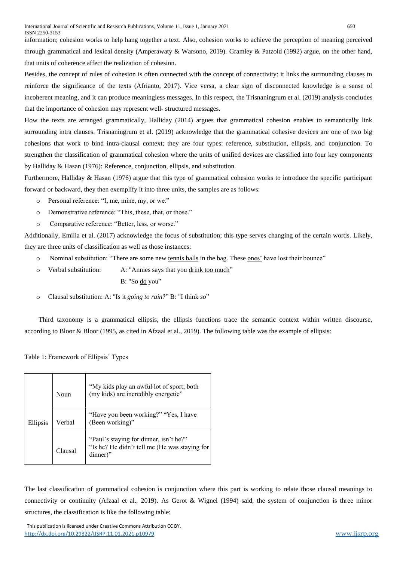information; cohesion works to help hang together a text. Also, cohesion works to achieve the perception of meaning perceived through grammatical and lexical density (Amperawaty & Warsono, 2019). Gramley & Patzold (1992) argue, on the other hand, that units of coherence affect the realization of cohesion.

Besides, the concept of rules of cohesion is often connected with the concept of connectivity: it links the surrounding clauses to reinforce the significance of the texts (Afrianto, 2017). Vice versa, a clear sign of disconnected knowledge is a sense of incoherent meaning, and it can produce meaningless messages. In this respect, the Trisnaningrum et al. (2019) analysis concludes that the importance of cohesion may represent well- structured messages.

How the texts are arranged grammatically, Halliday (2014) argues that grammatical cohesion enables to semantically link surrounding intra clauses. Trisnaningrum et al. (2019) acknowledge that the grammatical cohesive devices are one of two big cohesions that work to bind intra-clausal context; they are four types: reference, substitution, ellipsis, and conjunction. To strengthen the classification of grammatical cohesion where the units of unified devices are classified into four key components by Halliday & Hasan (1976): Reference, conjunction, ellipsis, and substitution.

Furthermore, Halliday & Hasan (1976) argue that this type of grammatical cohesion works to introduce the specific participant forward or backward, they then exemplify it into three units, the samples are as follows:

- o Personal reference: "I, me, mine, my, or we."
- o Demonstrative reference: "This, these, that, or those."
- o Comparative reference: "Better, less, or worse."

Additionally, Emilia et al. (2017) acknowledge the focus of substitution; this type serves changing of the certain words. Likely, they are three units of classification as well as those instances:

- o Nominal substitution: "There are some new tennis balls in the bag. These ones' have lost their bounce"
- o Verbal substitution: A: "Annies says that you drink too much" B: "So do you"
- o Clausal substitution: A: "Is it *going to rain*?" B: "I think *so*"

Third taxonomy is a grammatical ellipsis, the ellipsis functions trace the semantic context within written discourse, according to Bloor & Bloor (1995, as cited in Afzaal et al., 2019). The following table was the example of ellipsis:

Table 1: Framework of Ellipsis' Types

| Ellipsis | Noun    | "My kids play an awful lot of sport; both<br>(my kids) are incredibly energetic"                    |  |
|----------|---------|-----------------------------------------------------------------------------------------------------|--|
|          | Verbal  | "Have you been working?" "Yes, I have<br>(Been working)"                                            |  |
|          | Clausal | "Paul's staying for dinner, isn't he?"<br>"Is he? He didn't tell me (He was staying for<br>dinner)" |  |

The last classification of grammatical cohesion is conjunction where this part is working to relate those clausal meanings to connectivity or continuity (Afzaal et al., 2019). As Gerot & Wignel (1994) said, the system of conjunction is three minor structures, the classification is like the following table:

This publication is licensed under Creative Commons Attribution CC BY. <http://dx.doi.org/10.29322/IJSRP.11.01.2021.p10979> [www.ijsrp.org](http://ijsrp.org/)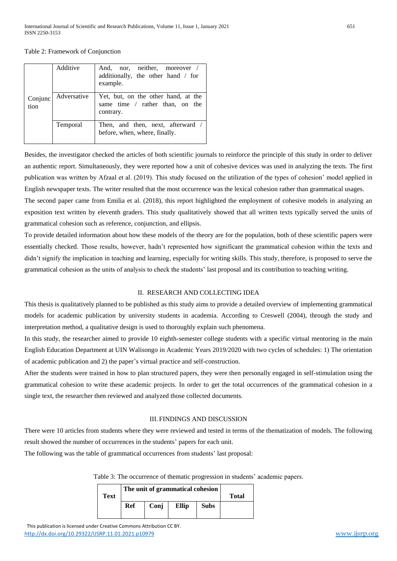Table 2: Framework of Conjunction

| Conjunc<br>tion | Additive    | And, nor, neither, moreover /<br>additionally, the other hand / for<br>example.     |  |  |
|-----------------|-------------|-------------------------------------------------------------------------------------|--|--|
|                 | Adversative | Yet, but, on the other hand, at the<br>same time / rather than, on the<br>contrary. |  |  |
|                 | Temporal    | Then, and then, next, afterward /<br>before, when, where, finally.                  |  |  |

Besides, the investigator checked the articles of both scientific journals to reinforce the principle of this study in order to deliver an authentic report. Simultaneously, they were reported how a unit of cohesive devices was used in analyzing the texts. The first publication was written by Afzaal et al. (2019). This study focused on the utilization of the types of cohesion' model applied in English newspaper texts. The writer resulted that the most occurrence was the lexical cohesion rather than grammatical usages. The second paper came from Emilia et al. (2018), this report highlighted the employment of cohesive models in analyzing an exposition text written by eleventh graders. This study qualitatively showed that all written texts typically served the units of grammatical cohesion such as reference, conjunction, and ellipsis.

To provide detailed information about how these models of the theory are for the population, both of these scientific papers were essentially checked. Those results, however, hadn't represented how significant the grammatical cohesion within the texts and didn't signify the implication in teaching and learning, especially for writing skills. This study, therefore, is proposed to serve the grammatical cohesion as the units of analysis to check the students' last proposal and its contribution to teaching writing.

#### II. RESEARCH AND COLLECTING IDEA

This thesis is qualitatively planned to be published as this study aims to provide a detailed overview of implementing grammatical models for academic publication by university students in academia. According to Creswell (2004), through the study and interpretation method, a qualitative design is used to thoroughly explain such phenomena.

In this study, the researcher aimed to provide 10 eighth-semester college students with a specific virtual mentoring in the main English Education Department at UIN Walisongo in Academic Years 2019/2020 with two cycles of schedules: 1) The orientation of academic publication and 2) the paper's virtual practice and self-construction.

After the students were trained in how to plan structured papers, they were then personally engaged in self-stimulation using the grammatical cohesion to write these academic projects. In order to get the total occurrences of the grammatical cohesion in a single text, the researcher then reviewed and analyzed those collected documents.

#### III. FINDINGS AND DISCUSSION

There were 10 articles from students where they were reviewed and tested in terms of the thematization of models. The following result showed the number of occurrences in the students' papers for each unit.

The following was the table of grammatical occurrences from students' last proposal:

Table 3: The occurrence of thematic progression in students' academic papers.

|      | The unit of grammatical cohesion |              |       |             |  |  |
|------|----------------------------------|--------------|-------|-------------|--|--|
| Text |                                  | <b>Total</b> |       |             |  |  |
|      | Ref                              | Conj         | Ellip | <b>Subs</b> |  |  |
|      |                                  |              |       |             |  |  |

 This publication is licensed under Creative Commons Attribution CC BY. <http://dx.doi.org/10.29322/IJSRP.11.01.2021.p10979> [www.ijsrp.org](http://ijsrp.org/)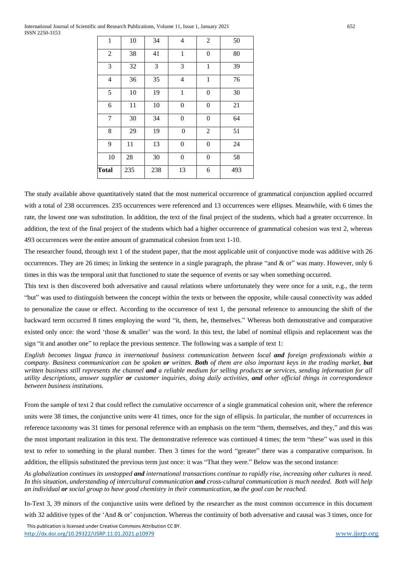| <b>Total</b>   | 235 | 238 | 13               | 6                | 493 |
|----------------|-----|-----|------------------|------------------|-----|
| 10             | 28  | 30  | $\boldsymbol{0}$ | $\boldsymbol{0}$ | 58  |
| 9              | 11  | 13  | $\boldsymbol{0}$ | $\theta$         | 24  |
| 8              | 29  | 19  | $\overline{0}$   | $\overline{2}$   | 51  |
| $\tau$         | 30  | 34  | $\boldsymbol{0}$ | $\boldsymbol{0}$ | 64  |
| 6              | 11  | 10  | $\overline{0}$   | $\theta$         | 21  |
| 5              | 10  | 19  | $\mathbf 1$      | $\boldsymbol{0}$ | 30  |
| 4              | 36  | 35  | 4                | $\mathbf{1}$     | 76  |
| 3              | 32  | 3   | 3                | $\mathbf{1}$     | 39  |
| $\overline{c}$ | 38  | 41  | $\,1$            | $\boldsymbol{0}$ | 80  |
| $\mathbf{1}$   | 10  | 34  | 4                | $\overline{2}$   | 50  |

The study available above quantitatively stated that the most numerical occurrence of grammatical conjunction applied occurred with a total of 238 occurrences. 235 occurrences were referenced and 13 occurrences were ellipses. Meanwhile, with 6 times the rate, the lowest one was substitution. In addition, the text of the final project of the students, which had a greater occurrence. In addition, the text of the final project of the students which had a higher occurrence of grammatical cohesion was text 2, whereas 493 occurrences were the entire amount of grammatical cohesion from text 1-10.

The researcher found, through text 1 of the student paper, that the most applicable unit of conjunctive mode was additive with 26 occurrences. They are 26 times; in linking the sentence in a single paragraph, the phrase "and & or" was many. However, only 6 times in this was the temporal unit that functioned to state the sequence of events or say when something occurred.

This text is then discovered both adversative and causal relations where unfortunately they were once for a unit, e.g., the term "but" was used to distinguish between the concept within the texts or between the opposite, while causal connectivity was added to personalize the cause or effect. According to the occurrence of text 1, the personal reference to announcing the shift of the backward term occurred 8 times employing the word "it, them, he, themselves." Whereas both demonstrative and comparative existed only once: the word 'those & smaller' was the word. In this text, the label of nominal ellipsis and replacement was the sign "it and another one" to replace the previous sentence. The following was a sample of text 1:

*English becomes lingua franca in international business communication between local and foreign professionals within a company. Business communication can be spoken or written. Both of them are also important keys in the trading market, but written business still represents the channel and a reliable medium for selling products or services, sending information for all utility descriptions, answer supplier or customer inquiries, doing daily activities, and other official things in correspondence between business institutions.* 

From the sample of text 2 that could reflect the cumulative occurrence of a single grammatical cohesion unit, where the reference units were 38 times, the conjunctive units were 41 times, once for the sign of ellipsis. In particular, the number of occurrences in reference taxonomy was 31 times for personal reference with an emphasis on the term "them, themselves, and they," and this was the most important realization in this text. The demonstrative reference was continued 4 times; the term "these" was used in this text to refer to something in the plural number. Then 3 times for the word "greater" there was a comparative comparison. In addition, the ellipsis substituted the previous term just once: it was "That they were." Below was the second instance:

*As globalization continues its unstopped and international transactions continue to rapidly rise, increasing other cultures is need. In this situation, understanding of intercultural communication and cross-cultural communication is much needed. Both will help an individual or social group to have good chemistry in their communication, so the goal can be reached.* 

In-Text 3, 39 minors of the conjunctive units were defined by the researcher as the most common occurrence in this document with 32 additive types of the 'And & or' conjunction. Whereas the continuity of both adversative and causal was 3 times, once for

 This publication is licensed under Creative Commons Attribution CC BY. <http://dx.doi.org/10.29322/IJSRP.11.01.2021.p10979> [www.ijsrp.org](http://ijsrp.org/)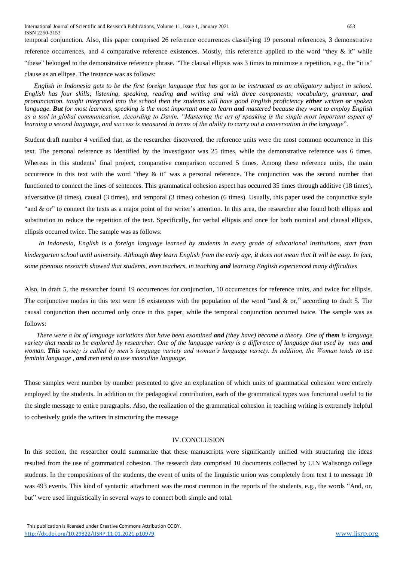International Journal of Scientific and Research Publications, Volume 11, Issue 1, January 2021 653 ISSN 2250-3153 temporal conjunction. Also, this paper comprised 26 reference occurrences classifying 19 personal references, 3 demonstrative reference occurrences, and 4 comparative reference existences. Mostly, this reference applied to the word "they & it" while "these" belonged to the demonstrative reference phrase. "The clausal ellipsis was 3 times to minimize a repetition, e.g., the "it is" clause as an ellipse. The instance was as follows:

*English in Indonesia gets to be the first foreign language that has got to be instructed as an obligatory subject in school. English has four skills; listening, speaking, reading and writing and with three components; vocabulary, grammar, and pronunciation. taught integrated into the school then the students will have good English proficiency either written or spoken language. But for most learners, speaking is the most important one to learn and mastered because they want to employ English as a tool in global communication. According to Davin, "Mastering the art of speaking is the single most important aspect of learning a second language, and success is measured in terms of the ability to carry out a conversation in the language*".

Student draft number 4 verified that, as the researcher discovered, the reference units were the most common occurrence in this text. The personal reference as identified by the investigator was 25 times, while the demonstrative reference was 6 times. Whereas in this students' final project, comparative comparison occurred 5 times. Among these reference units, the main occurrence in this text with the word "they  $\&$  it" was a personal reference. The conjunction was the second number that functioned to connect the lines of sentences. This grammatical cohesion aspect has occurred 35 times through additive (18 times), adversative (8 times), causal (3 times), and temporal (3 times) cohesion (6 times). Usually, this paper used the conjunctive style "and & or" to connect the texts as a major point of the writer's attention. In this area, the researcher also found both ellipsis and substitution to reduce the repetition of the text. Specifically, for verbal ellipsis and once for both nominal and clausal ellipsis, ellipsis occurred twice. The sample was as follows:

*In Indonesia, English is a foreign language learned by students in every grade of educational institutions, start from kindergarten school until university. Although they learn English from the early age, it does not mean that it will be easy. In fact, some previous research showed that students, even teachers, in teaching and learning English experienced many difficulties*

Also, in draft 5, the researcher found 19 occurrences for conjunction, 10 occurrences for reference units, and twice for ellipsis. The conjunctive modes in this text were 16 existences with the population of the word "and  $\&$  or," according to draft 5. The causal conjunction then occurred only once in this paper, while the temporal conjunction occurred twice. The sample was as follows:

*There were a lot of language variations that have been examined and (they have) become a theory. One of them is language variety that needs to be explored by researcher. One of the language variety is a difference of language that used by men and woman. This variety is called by men's language variety and woman's language variety. In addition, the Woman tends to use feminin language , and men tend to use masculine language.* 

Those samples were number by number presented to give an explanation of which units of grammatical cohesion were entirely employed by the students. In addition to the pedagogical contribution, each of the grammatical types was functional useful to tie the single message to entire paragraphs. Also, the realization of the grammatical cohesion in teaching writing is extremely helpful to cohesively guide the writers in structuring the message

#### IV.CONCLUSION

In this section, the researcher could summarize that these manuscripts were significantly unified with structuring the ideas resulted from the use of grammatical cohesion. The research data comprised 10 documents collected by UIN Walisongo college students. In the compositions of the students, the event of units of the linguistic union was completely from text 1 to message 10 was 493 events. This kind of syntactic attachment was the most common in the reports of the students, e.g., the words "And, or, but" were used linguistically in several ways to connect both simple and total.